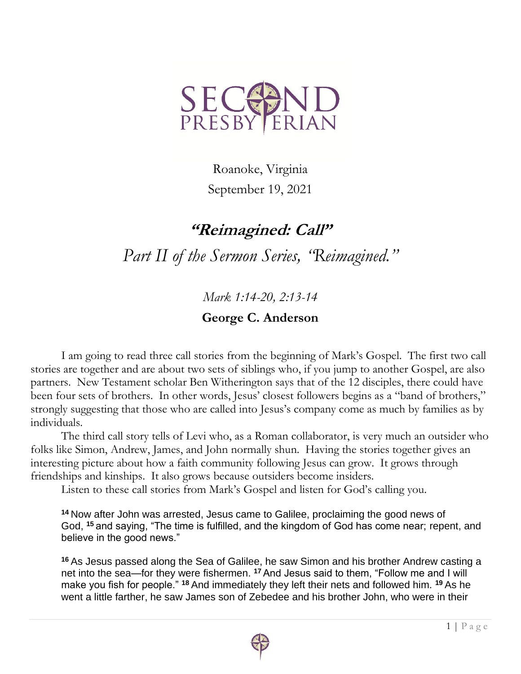

Roanoke, Virginia September 19, 2021

## **"Reimagined: Call"**

*Part II of the Sermon Series, "Reimagined."*

*Mark 1:14-20, 2:13-14*

## **George C. Anderson**

I am going to read three call stories from the beginning of Mark's Gospel. The first two call stories are together and are about two sets of siblings who, if you jump to another Gospel, are also partners. New Testament scholar Ben Witherington says that of the 12 disciples, there could have been four sets of brothers. In other words, Jesus' closest followers begins as a "band of brothers," strongly suggesting that those who are called into Jesus's company come as much by families as by individuals.

The third call story tells of Levi who, as a Roman collaborator, is very much an outsider who folks like Simon, Andrew, James, and John normally shun. Having the stories together gives an interesting picture about how a faith community following Jesus can grow. It grows through friendships and kinships. It also grows because outsiders become insiders.

Listen to these call stories from Mark's Gospel and listen for God's calling you.

**<sup>14</sup>** Now after John was arrested, Jesus came to Galilee, proclaiming the good news of God, **<sup>15</sup>** and saying, "The time is fulfilled, and the kingdom of God has come near; repent, and believe in the good news."

**<sup>16</sup>** As Jesus passed along the Sea of Galilee, he saw Simon and his brother Andrew casting a net into the sea—for they were fishermen. **<sup>17</sup>** And Jesus said to them, "Follow me and I will make you fish for people." **<sup>18</sup>** And immediately they left their nets and followed him. **<sup>19</sup>** As he went a little farther, he saw James son of Zebedee and his brother John, who were in their

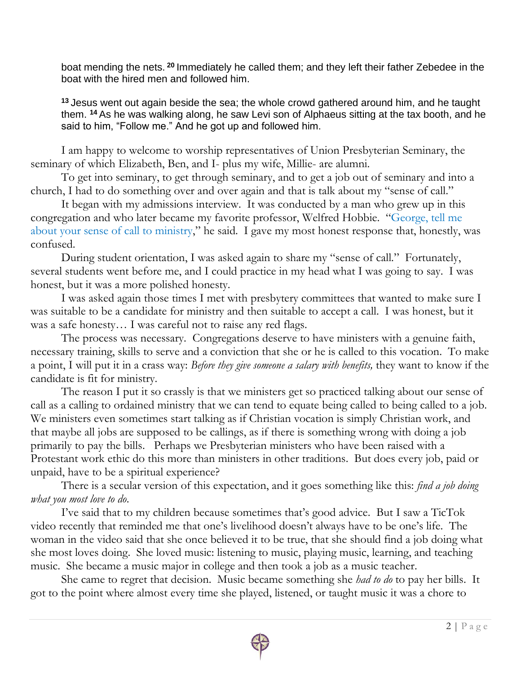boat mending the nets. **<sup>20</sup>**Immediately he called them; and they left their father Zebedee in the boat with the hired men and followed him.

**<sup>13</sup>** Jesus went out again beside the sea; the whole crowd gathered around him, and he taught them. **<sup>14</sup>** As he was walking along, he saw Levi son of Alphaeus sitting at the tax booth, and he said to him, "Follow me." And he got up and followed him.

I am happy to welcome to worship representatives of Union Presbyterian Seminary, the seminary of which Elizabeth, Ben, and I- plus my wife, Millie- are alumni.

To get into seminary, to get through seminary, and to get a job out of seminary and into a church, I had to do something over and over again and that is talk about my "sense of call."

It began with my admissions interview. It was conducted by a man who grew up in this congregation and who later became my favorite professor, Welfred Hobbie. "George, tell me about your sense of call to ministry," he said. I gave my most honest response that, honestly, was confused.

During student orientation, I was asked again to share my "sense of call." Fortunately, several students went before me, and I could practice in my head what I was going to say. I was honest, but it was a more polished honesty.

I was asked again those times I met with presbytery committees that wanted to make sure I was suitable to be a candidate for ministry and then suitable to accept a call. I was honest, but it was a safe honesty… I was careful not to raise any red flags.

The process was necessary. Congregations deserve to have ministers with a genuine faith, necessary training, skills to serve and a conviction that she or he is called to this vocation. To make a point, I will put it in a crass way: *Before they give someone a salary with benefits,* they want to know if the candidate is fit for ministry.

The reason I put it so crassly is that we ministers get so practiced talking about our sense of call as a calling to ordained ministry that we can tend to equate being called to being called to a job. We ministers even sometimes start talking as if Christian vocation is simply Christian work, and that maybe all jobs are supposed to be callings, as if there is something wrong with doing a job primarily to pay the bills. Perhaps we Presbyterian ministers who have been raised with a Protestant work ethic do this more than ministers in other traditions. But does every job, paid or unpaid, have to be a spiritual experience?

There is a secular version of this expectation, and it goes something like this: *find a job doing what you most love to do*.

I've said that to my children because sometimes that's good advice. But I saw a TicTok video recently that reminded me that one's livelihood doesn't always have to be one's life. The woman in the video said that she once believed it to be true, that she should find a job doing what she most loves doing. She loved music: listening to music, playing music, learning, and teaching music. She became a music major in college and then took a job as a music teacher.

She came to regret that decision. Music became something she *had to do* to pay her bills. It got to the point where almost every time she played, listened, or taught music it was a chore to

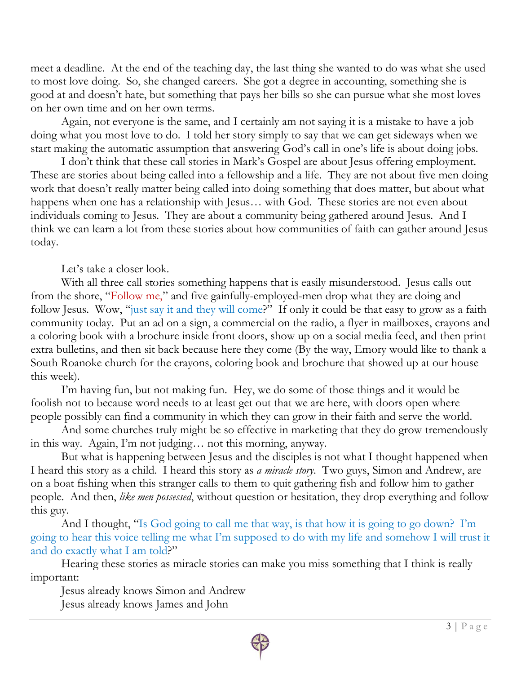meet a deadline. At the end of the teaching day, the last thing she wanted to do was what she used to most love doing. So, she changed careers. She got a degree in accounting, something she is good at and doesn't hate, but something that pays her bills so she can pursue what she most loves on her own time and on her own terms.

Again, not everyone is the same, and I certainly am not saying it is a mistake to have a job doing what you most love to do. I told her story simply to say that we can get sideways when we start making the automatic assumption that answering God's call in one's life is about doing jobs.

I don't think that these call stories in Mark's Gospel are about Jesus offering employment. These are stories about being called into a fellowship and a life. They are not about five men doing work that doesn't really matter being called into doing something that does matter, but about what happens when one has a relationship with Jesus... with God. These stories are not even about individuals coming to Jesus. They are about a community being gathered around Jesus. And I think we can learn a lot from these stories about how communities of faith can gather around Jesus today.

Let's take a closer look.

With all three call stories something happens that is easily misunderstood. Jesus calls out from the shore, "Follow me," and five gainfully-employed-men drop what they are doing and follow Jesus. Wow, "just say it and they will come?" If only it could be that easy to grow as a faith community today. Put an ad on a sign, a commercial on the radio, a flyer in mailboxes, crayons and a coloring book with a brochure inside front doors, show up on a social media feed, and then print extra bulletins, and then sit back because here they come (By the way, Emory would like to thank a South Roanoke church for the crayons, coloring book and brochure that showed up at our house this week).

I'm having fun, but not making fun. Hey, we do some of those things and it would be foolish not to because word needs to at least get out that we are here, with doors open where people possibly can find a community in which they can grow in their faith and serve the world.

And some churches truly might be so effective in marketing that they do grow tremendously in this way. Again, I'm not judging… not this morning, anyway.

But what is happening between Jesus and the disciples is not what I thought happened when I heard this story as a child. I heard this story as *a miracle story*. Two guys, Simon and Andrew, are on a boat fishing when this stranger calls to them to quit gathering fish and follow him to gather people. And then, *like men possessed*, without question or hesitation, they drop everything and follow this guy.

And I thought, "Is God going to call me that way, is that how it is going to go down? I'm going to hear this voice telling me what I'm supposed to do with my life and somehow I will trust it and do exactly what I am told?"

Hearing these stories as miracle stories can make you miss something that I think is really important:

Jesus already knows Simon and Andrew Jesus already knows James and John

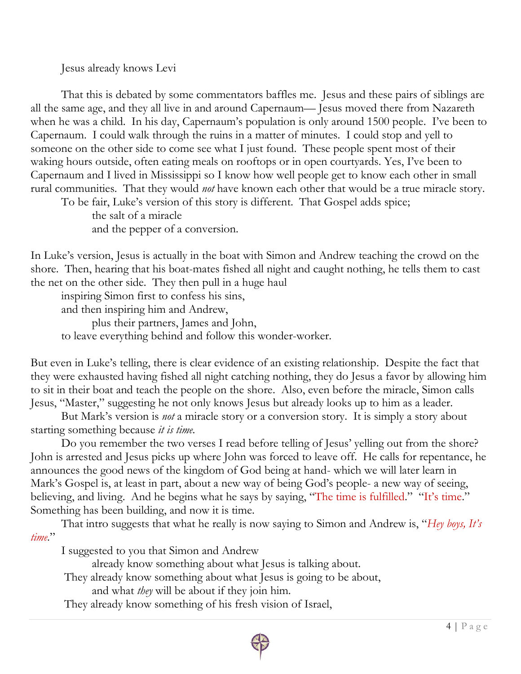Jesus already knows Levi

That this is debated by some commentators baffles me. Jesus and these pairs of siblings are all the same age, and they all live in and around Capernaum— Jesus moved there from Nazareth when he was a child. In his day, Capernaum's population is only around 1500 people. I've been to Capernaum. I could walk through the ruins in a matter of minutes. I could stop and yell to someone on the other side to come see what I just found. These people spent most of their waking hours outside, often eating meals on rooftops or in open courtyards. Yes, I've been to Capernaum and I lived in Mississippi so I know how well people get to know each other in small rural communities. That they would *not* have known each other that would be a true miracle story.

To be fair, Luke's version of this story is different. That Gospel adds spice; the salt of a miracle and the pepper of a conversion.

In Luke's version, Jesus is actually in the boat with Simon and Andrew teaching the crowd on the shore. Then, hearing that his boat-mates fished all night and caught nothing, he tells them to cast the net on the other side. They then pull in a huge haul

inspiring Simon first to confess his sins, and then inspiring him and Andrew, plus their partners, James and John, to leave everything behind and follow this wonder-worker.

But even in Luke's telling, there is clear evidence of an existing relationship. Despite the fact that they were exhausted having fished all night catching nothing, they do Jesus a favor by allowing him to sit in their boat and teach the people on the shore. Also, even before the miracle, Simon calls Jesus, "Master," suggesting he not only knows Jesus but already looks up to him as a leader.

But Mark's version is *not* a miracle story or a conversion story. It is simply a story about starting something because *it is time*.

Do you remember the two verses I read before telling of Jesus' yelling out from the shore? John is arrested and Jesus picks up where John was forced to leave off. He calls for repentance, he announces the good news of the kingdom of God being at hand- which we will later learn in Mark's Gospel is, at least in part, about a new way of being God's people- a new way of seeing, believing, and living. And he begins what he says by saying, "The time is fulfilled." "It's time." Something has been building, and now it is time.

That intro suggests that what he really is now saying to Simon and Andrew is, "*Hey boys, It's time*."

I suggested to you that Simon and Andrew

already know something about what Jesus is talking about.

They already know something about what Jesus is going to be about,

and what *they* will be about if they join him.

They already know something of his fresh vision of Israel,

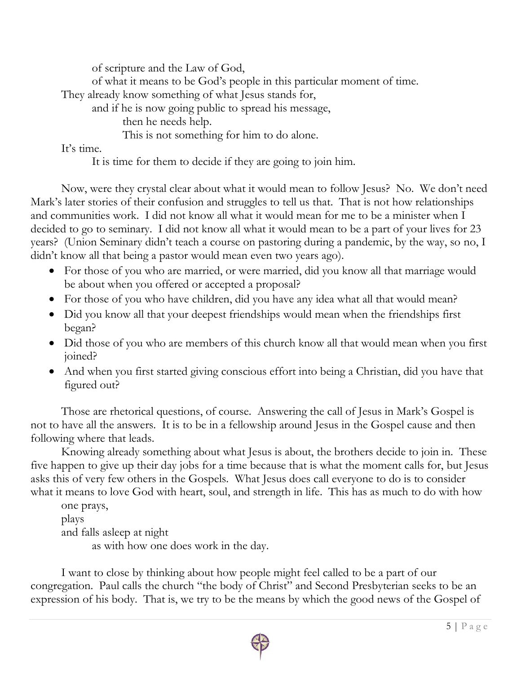of scripture and the Law of God,

of what it means to be God's people in this particular moment of time.

They already know something of what Jesus stands for,

and if he is now going public to spread his message,

then he needs help.

This is not something for him to do alone.

It's time.

It is time for them to decide if they are going to join him.

Now, were they crystal clear about what it would mean to follow Jesus? No. We don't need Mark's later stories of their confusion and struggles to tell us that. That is not how relationships and communities work. I did not know all what it would mean for me to be a minister when I decided to go to seminary. I did not know all what it would mean to be a part of your lives for 23 years? (Union Seminary didn't teach a course on pastoring during a pandemic, by the way, so no, I didn't know all that being a pastor would mean even two years ago).

- For those of you who are married, or were married, did you know all that marriage would be about when you offered or accepted a proposal?
- For those of you who have children, did you have any idea what all that would mean?
- Did you know all that your deepest friendships would mean when the friendships first began?
- Did those of you who are members of this church know all that would mean when you first joined?
- And when you first started giving conscious effort into being a Christian, did you have that figured out?

Those are rhetorical questions, of course. Answering the call of Jesus in Mark's Gospel is not to have all the answers. It is to be in a fellowship around Jesus in the Gospel cause and then following where that leads.

Knowing already something about what Jesus is about, the brothers decide to join in. These five happen to give up their day jobs for a time because that is what the moment calls for, but Jesus asks this of very few others in the Gospels. What Jesus does call everyone to do is to consider what it means to love God with heart, soul, and strength in life. This has as much to do with how

one prays, plays and falls asleep at night as with how one does work in the day.

I want to close by thinking about how people might feel called to be a part of our congregation. Paul calls the church "the body of Christ" and Second Presbyterian seeks to be an expression of his body. That is, we try to be the means by which the good news of the Gospel of